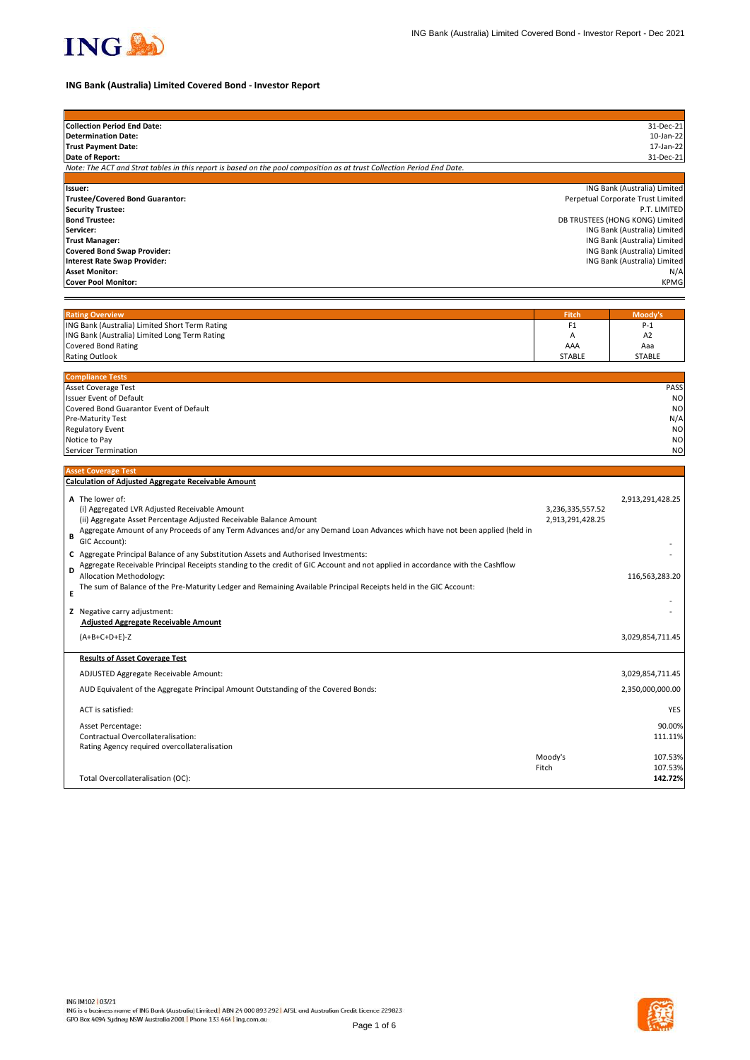

# **ING Bank (Australia) Limited Covered Bond - Investor Report**

| <b>Collection Period End Date:</b>                                                                                              |                  | 31-Dec-21                                                    |
|---------------------------------------------------------------------------------------------------------------------------------|------------------|--------------------------------------------------------------|
| <b>Determination Date:</b>                                                                                                      |                  | 10-Jan-22                                                    |
| <b>Trust Payment Date:</b>                                                                                                      |                  | 17-Jan-22                                                    |
| Date of Report:                                                                                                                 |                  | 31-Dec-21                                                    |
| Note: The ACT and Strat tables in this report is based on the pool composition as at trust Collection Period End Date.          |                  |                                                              |
|                                                                                                                                 |                  |                                                              |
| Issuer:                                                                                                                         |                  | ING Bank (Australia) Limited                                 |
| <b>Trustee/Covered Bond Guarantor:</b>                                                                                          |                  | Perpetual Corporate Trust Limited                            |
| <b>Security Trustee:</b>                                                                                                        |                  | P.T. LIMITED                                                 |
| <b>Bond Trustee:</b>                                                                                                            |                  | DB TRUSTEES (HONG KONG) Limited                              |
| Servicer:                                                                                                                       |                  | ING Bank (Australia) Limited                                 |
| <b>Trust Manager:</b>                                                                                                           |                  | ING Bank (Australia) Limited<br>ING Bank (Australia) Limited |
| <b>Covered Bond Swap Provider:</b><br><b>Interest Rate Swap Provider:</b>                                                       |                  | ING Bank (Australia) Limited                                 |
| <b>Asset Monitor:</b>                                                                                                           |                  | N/A                                                          |
| <b>Cover Pool Monitor:</b>                                                                                                      |                  | <b>KPMG</b>                                                  |
|                                                                                                                                 |                  |                                                              |
|                                                                                                                                 |                  |                                                              |
| <b>Rating Overview</b>                                                                                                          | Fitch            | Moody's                                                      |
| ING Bank (Australia) Limited Short Term Rating                                                                                  | F <sub>1</sub>   | $P-1$                                                        |
| ING Bank (Australia) Limited Long Term Rating                                                                                   | Α                | A <sub>2</sub>                                               |
| <b>Covered Bond Rating</b>                                                                                                      | AAA              | Aaa                                                          |
| <b>Rating Outlook</b>                                                                                                           | <b>STABLE</b>    | <b>STABLE</b>                                                |
|                                                                                                                                 |                  |                                                              |
| <b>Compliance Tests</b>                                                                                                         |                  |                                                              |
| Asset Coverage Test                                                                                                             |                  | PASS                                                         |
| <b>Issuer Event of Default</b>                                                                                                  |                  | N <sub>O</sub>                                               |
| Covered Bond Guarantor Event of Default                                                                                         |                  | <b>NO</b>                                                    |
| Pre-Maturity Test                                                                                                               |                  | N/A                                                          |
| <b>Regulatory Event</b>                                                                                                         |                  | N <sub>O</sub>                                               |
| Notice to Pay                                                                                                                   |                  | N <sub>O</sub>                                               |
| Servicer Termination                                                                                                            |                  | N <sub>O</sub>                                               |
|                                                                                                                                 |                  |                                                              |
| <b>Asset Coverage Test</b>                                                                                                      |                  |                                                              |
| <b>Calculation of Adjusted Aggregate Receivable Amount</b>                                                                      |                  |                                                              |
| A The lower of:                                                                                                                 |                  | 2,913,291,428.25                                             |
| (i) Aggregated LVR Adjusted Receivable Amount                                                                                   | 3,236,335,557.52 |                                                              |
| (ii) Aggregate Asset Percentage Adjusted Receivable Balance Amount                                                              | 2,913,291,428.25 |                                                              |
| Aggregate Amount of any Proceeds of any Term Advances and/or any Demand Loan Advances which have not been applied (held in<br>B |                  |                                                              |
| GIC Account):                                                                                                                   |                  |                                                              |
| C Aggregate Principal Balance of any Substitution Assets and Authorised Investments:                                            |                  |                                                              |
| Aggregate Receivable Principal Receipts standing to the credit of GIC Account and not applied in accordance with the Cashflow   |                  |                                                              |
| D<br>Allocation Methodology:                                                                                                    |                  | 116,563,283.20                                               |
| The sum of Balance of the Pre-Maturity Ledger and Remaining Available Principal Receipts held in the GIC Account:               |                  |                                                              |
| Е                                                                                                                               |                  |                                                              |
| Z Negative carry adjustment:                                                                                                    |                  |                                                              |
| <b>Adjusted Aggregate Receivable Amount</b>                                                                                     |                  |                                                              |
|                                                                                                                                 |                  |                                                              |
| $(A+B+C+D+E)-Z$                                                                                                                 |                  | 3,029,854,711.45                                             |
| <b>Results of Asset Coverage Test</b>                                                                                           |                  |                                                              |
|                                                                                                                                 |                  |                                                              |
| ADJUSTED Aggregate Receivable Amount:                                                                                           |                  | 3,029,854,711.45                                             |
| AUD Equivalent of the Aggregate Principal Amount Outstanding of the Covered Bonds:                                              |                  | 2,350,000,000.00                                             |
| ACT is satisfied:                                                                                                               |                  | YES                                                          |
| Asset Percentage:                                                                                                               |                  | 90.00%                                                       |
| Contractual Overcollateralisation:                                                                                              |                  | 111.11%                                                      |
| Rating Agency required overcollateralisation                                                                                    |                  |                                                              |
|                                                                                                                                 | Moody's          | 107.53%                                                      |
|                                                                                                                                 | Fitch            | 107.53%                                                      |
| Total Overcollateralisation (OC):                                                                                               |                  | 142.72%                                                      |
|                                                                                                                                 |                  |                                                              |

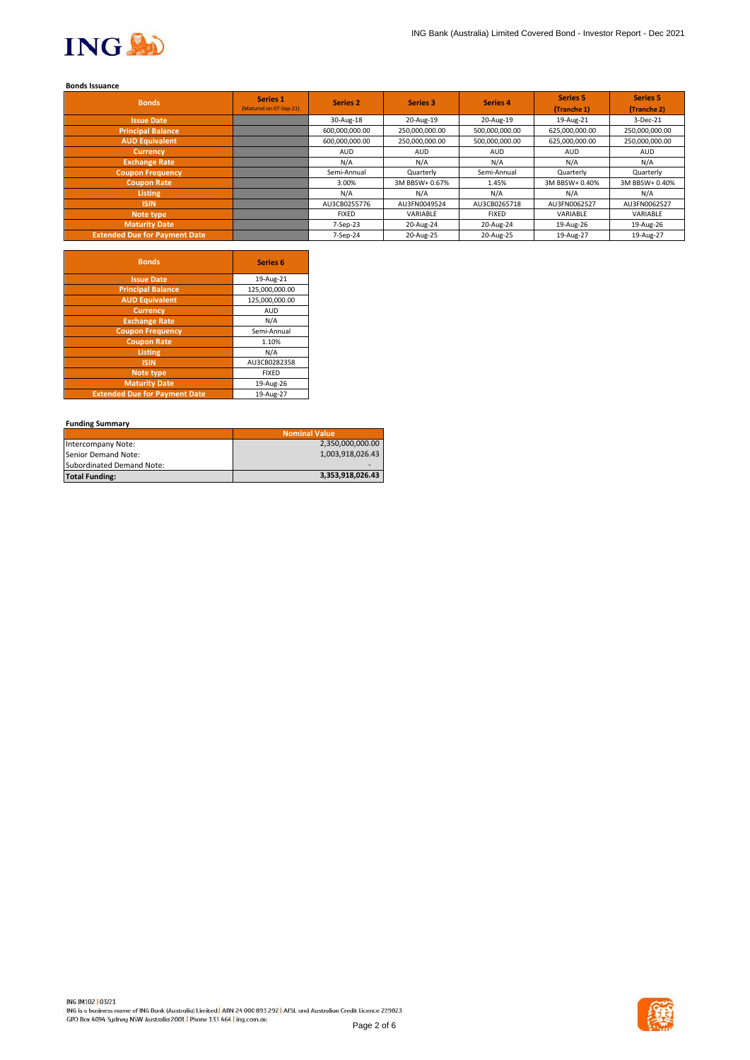

## **Bonds Issuance**

| <b>Bonds</b>                         | Series 1<br>(Matured on 07-Sep-21) | <b>Series 2</b> | Series 3       | <b>Series 4</b> | <b>Series 5</b><br>(Tranche 1) | Series 5<br>(Tranche 2) |
|--------------------------------------|------------------------------------|-----------------|----------------|-----------------|--------------------------------|-------------------------|
| <b>Issue Date</b>                    |                                    | 30-Aug-18       | 20-Aug-19      | 20-Aug-19       | 19-Aug-21                      | 3-Dec-21                |
| <b>Principal Balance</b>             |                                    | 600,000,000.00  | 250,000,000.00 | 500,000,000.00  | 625,000,000.00                 | 250,000,000.00          |
| <b>AUD Equivalent</b>                |                                    | 600,000,000.00  | 250,000,000.00 | 500,000,000.00  | 625,000,000.00                 | 250,000,000.00          |
| <b>Currency</b>                      |                                    | <b>AUD</b>      | <b>AUD</b>     | AUD             | AUD                            | <b>AUD</b>              |
| <b>Exchange Rate</b>                 |                                    | N/A             | N/A            | N/A             | N/A                            | N/A                     |
| <b>Coupon Frequency</b>              |                                    | Semi-Annual     | Quarterly      | Semi-Annual     | Quarterly                      | Quarterly               |
| <b>Coupon Rate</b>                   |                                    | 3.00%           | 3M BBSW+ 0.67% | 1.45%           | 3M BBSW+ 0.40%                 | 3M BBSW+ 0.40%          |
| <b>Listing</b>                       |                                    | N/A             | N/A            | N/A             | N/A                            | N/A                     |
| <b>ISIN</b>                          |                                    | AU3CB0255776    | AU3FN0049524   | AU3CB0265718    | AU3FN0062527                   | AU3FN0062527            |
| Note type                            |                                    | <b>FIXED</b>    | VARIABLE       | <b>FIXED</b>    | VARIABLE                       | VARIABLE                |
| <b>Maturity Date</b>                 |                                    | 7-Sep-23        | 20-Aug-24      | 20-Aug-24       | 19-Aug-26                      | 19-Aug-26               |
| <b>Extended Due for Payment Date</b> |                                    | 7-Sep-24        | 20-Aug-25      | 20-Aug-25       | 19-Aug-27                      | 19-Aug-27               |

| <b>Bonds</b>                         | <b>Series 6</b> |
|--------------------------------------|-----------------|
| <b>Issue Date</b>                    | 19-Aug-21       |
| <b>Principal Balance</b>             | 125,000,000.00  |
| <b>AUD Equivalent</b>                | 125,000,000.00  |
| <b>Currency</b>                      | <b>AUD</b>      |
| <b>Exchange Rate</b>                 | N/A             |
| <b>Coupon Frequency</b>              | Semi-Annual     |
| <b>Coupon Rate</b>                   | 1.10%           |
| <b>Listing</b>                       | N/A             |
| <b>ISIN</b>                          | AU3CB0282358    |
| Note type                            | <b>FIXED</b>    |
| <b>Maturity Date</b>                 | 19-Aug-26       |
| <b>Extended Due for Payment Date</b> | 19-Aug-27       |

## **Funding Summary**

|                           | <b>Nominal Value</b> |
|---------------------------|----------------------|
| Intercompany Note:        | 2,350,000,000.00     |
| Senior Demand Note:       | 1,003,918,026.43     |
| Subordinated Demand Note: |                      |
| <b>Total Funding:</b>     | 3,353,918,026.43     |

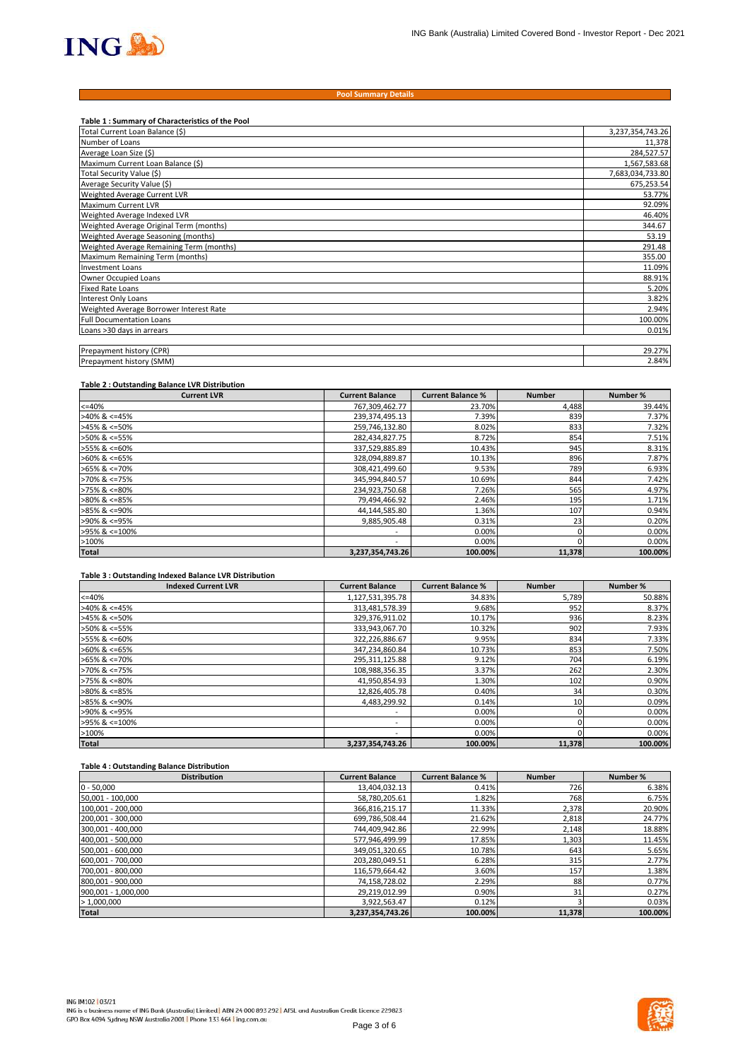

#### **Pool Summary Details**

| Table 1: Summary of Characteristics of the Pool |                  |
|-------------------------------------------------|------------------|
| Total Current Loan Balance (\$)                 | 3,237,354,743.26 |
| Number of Loans                                 | 11,378           |
| Average Loan Size (\$)                          | 284,527.57       |
| Maximum Current Loan Balance (\$)               | 1,567,583.68     |
| Total Security Value (\$)                       | 7,683,034,733.80 |
| Average Security Value (\$)                     | 675,253.54       |
| Weighted Average Current LVR                    | 53.77%           |
| <b>Maximum Current LVR</b>                      | 92.09%           |
| Weighted Average Indexed LVR                    | 46.40%           |
| Weighted Average Original Term (months)         | 344.67           |
| Weighted Average Seasoning (months)             | 53.19            |
| Weighted Average Remaining Term (months)        | 291.48           |
| Maximum Remaining Term (months)                 | 355.00           |
| <b>Investment Loans</b>                         | 11.09%           |
| Owner Occupied Loans                            | 88.91%           |
| <b>Fixed Rate Loans</b>                         | 5.20%            |
| Interest Only Loans                             | 3.82%            |
| Weighted Average Borrower Interest Rate         | 2.94%            |
| <b>Full Documentation Loans</b>                 | 100.00%          |
| Loans >30 days in arrears                       | 0.01%            |
|                                                 |                  |
| Prepayment history (CPR)                        | 29.27%           |
| Prepayment history (SMM)                        | 2.84%            |

#### **Table 2 : Outstanding Balance LVR Distribution**

| <b>Current LVR</b>    | <b>Current Balance</b>   | <b>Current Balance %</b> | <b>Number</b> | Number % |
|-----------------------|--------------------------|--------------------------|---------------|----------|
| $<=40%$               | 767,309,462.77           | 23.70%                   | 4,488         | 39.44%   |
| $>40\%$ & <=45%       | 239,374,495.13           | 7.39%                    | 839           | 7.37%    |
| $>45\%$ & <=50%       | 259,746,132.80           | 8.02%                    | 833           | 7.32%    |
| >50% & <=55%          | 282,434,827.75           | 8.72%                    | 854           | 7.51%    |
| >55% & <=60%          | 337,529,885.89           | 10.43%                   | 945           | 8.31%    |
| $>60\%$ & <=65%       | 328,094,889.87           | 10.13%                   | 896           | 7.87%    |
| $>65\%$ & $\leq$ 70%  | 308,421,499.60           | 9.53%                    | 789           | 6.93%    |
| $>70\%$ & $\leq 75\%$ | 345,994,840.57           | 10.69%                   | 844           | 7.42%    |
| $>75\%$ & $\leq 80\%$ | 234,923,750.68           | 7.26%                    | 565           | 4.97%    |
| $>80\%$ & <=85%       | 79,494,466.92            | 2.46%                    | 195           | 1.71%    |
| $>85\%$ & <=90%       | 44,144,585.80            | 1.36%                    | 107           | 0.94%    |
| >90% & <=95%          | 9,885,905.48             | 0.31%                    | 23            | 0.20%    |
| >95% & <=100%         | $\overline{\phantom{a}}$ | 0.00%                    |               | 0.00%    |
| >100%                 | $\overline{\phantom{a}}$ | 0.00%                    |               | 0.00%    |
| <b>Total</b>          | 3,237,354,743.26         | 100.00%                  | 11,378        | 100.00%  |

#### **Table 3 : Outstanding Indexed Balance LVR Distribution**

| <b>Indexed Current LVR</b> | <b>Current Balance</b>   | <b>Current Balance %</b> | <b>Number</b> | Number % |
|----------------------------|--------------------------|--------------------------|---------------|----------|
| $<=40%$                    | 1,127,531,395.78         | 34.83%                   | 5,789         | 50.88%   |
| $>40\%$ & <=45%            | 313,481,578.39           | 9.68%                    | 952           | 8.37%    |
| $>45\%$ & <=50%            | 329,376,911.02           | 10.17%                   | 936           | 8.23%    |
| >50% & <=55%               | 333,943,067.70           | 10.32%                   | 902           | 7.93%    |
| >55% & <=60%               | 322,226,886.67           | 9.95%                    | 834           | 7.33%    |
| $>60\%$ & <=65%            | 347,234,860.84           | 10.73%                   | 853           | 7.50%    |
| $>65\%$ & <=70%            | 295,311,125.88           | 9.12%                    | 704           | 6.19%    |
| >70% & <=75%               | 108,988,356.35           | 3.37%                    | 262           | 2.30%    |
| $>75\%$ & $\leq 80\%$      | 41,950,854.93            | 1.30%                    | 102           | 0.90%    |
| $>80\%$ & <=85%            | 12,826,405.78            | 0.40%                    | 34            | 0.30%    |
| $>85\%$ & <=90%            | 4,483,299.92             | 0.14%                    | 10            | 0.09%    |
| >90% & <=95%               | $\overline{\phantom{a}}$ | 0.00%                    |               | 0.00%    |
| >95% & <=100%              | $\overline{\phantom{a}}$ | 0.00%                    |               | 0.00%    |
| >100%                      | $\overline{\phantom{a}}$ | 0.00%                    |               | 0.00%    |
| <b>Total</b>               | 3.237.354.743.26         | 100.00%                  | 11.378        | 100.00%  |

## **Table 4 : Outstanding Balance Distribution**

| <b>Distribution</b> | <b>Current Balance</b> | <b>Current Balance %</b> | <b>Number</b> | Number % |
|---------------------|------------------------|--------------------------|---------------|----------|
| $0 - 50,000$        | 13,404,032.13          | 0.41%                    | 726           | 6.38%    |
| 50,001 - 100,000    | 58,780,205.61          | 1.82%                    | 768           | 6.75%    |
| 100,001 - 200,000   | 366,816,215.17         | 11.33%                   | 2,378         | 20.90%   |
| 200,001 - 300,000   | 699,786,508.44         | 21.62%                   | 2,818         | 24.77%   |
| 300,001 - 400,000   | 744,409,942.86         | 22.99%                   | 2,148         | 18.88%   |
| 400,001 - 500,000   | 577,946,499.99         | 17.85%                   | 1,303         | 11.45%   |
| 500,001 - 600,000   | 349,051,320.65         | 10.78%                   | 643           | 5.65%    |
| 600,001 - 700,000   | 203,280,049.51         | 6.28%                    | 315           | 2.77%    |
| 700,001 - 800,000   | 116,579,664.42         | 3.60%                    | 157           | 1.38%    |
| 800,001 - 900,000   | 74,158,728.02          | 2.29%                    | 88            | 0.77%    |
| 900,001 - 1,000,000 | 29,219,012.99          | 0.90%                    | 31            | 0.27%    |
| >1,000,000          | 3,922,563.47           | 0.12%                    |               | 0.03%    |
| <b>Total</b>        | 3,237,354,743.26       | 100.00%                  | 11,378        | 100.00%  |

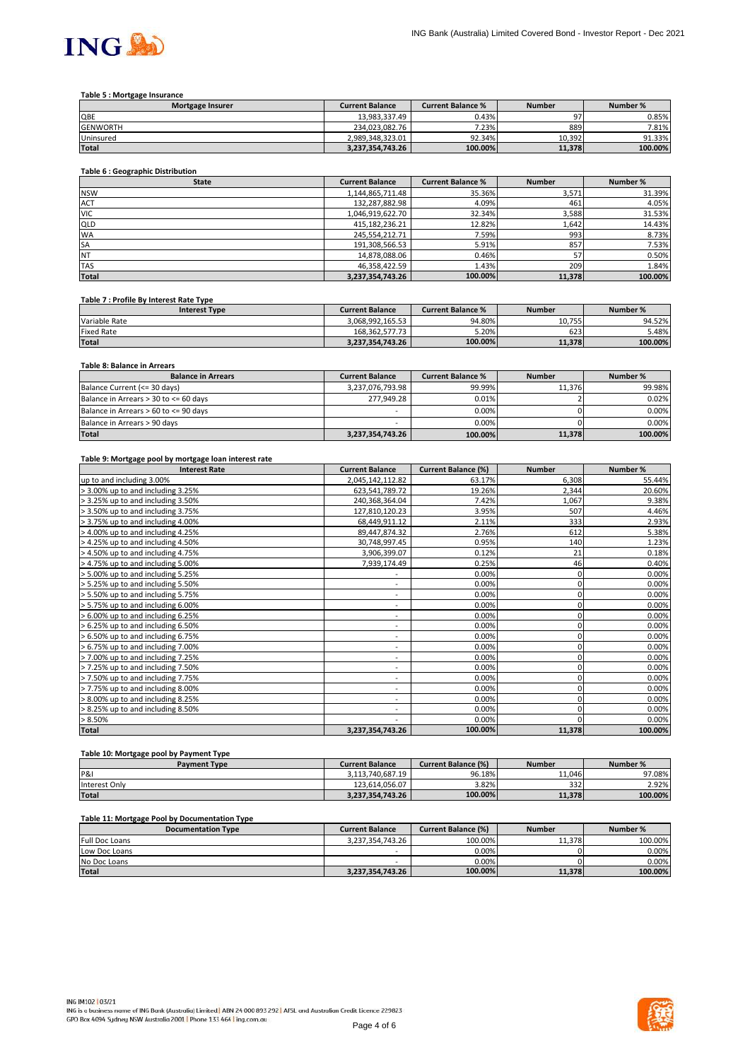

## **Table 5 : Mortgage Insurance**

| <b>Mortgage Insurer</b> | <b>Current Balance</b> | <b>Current Balance %</b> | <b>Number</b> | Number % |
|-------------------------|------------------------|--------------------------|---------------|----------|
| QBE                     | 13.983.337.49          | 0.43%                    | n7            | 0.85%    |
| <b>GENWORTH</b>         | 234.023.082.76         | 7.23%                    | 889           | 7.81%    |
| Uninsured               | 2.989.348.323.01       | 92.34%                   | 10.392        | 91.33%   |
| <b>Total</b>            | 3.237.354.743.26       | 100.00%                  | 11.378        | 100.00%  |

## **Table 6 : Geographic Distribution**

| <b>State</b> | <b>Current Balance</b> | <b>Current Balance %</b> | <b>Number</b> | Number % |
|--------------|------------------------|--------------------------|---------------|----------|
| <b>NSW</b>   | 1,144,865,711.48       | 35.36%                   | 3,571         | 31.39%   |
| <b>ACT</b>   | 132,287,882.98         | 4.09%                    | 461           | 4.05%    |
| <b>VIC</b>   | 1,046,919,622.70       | 32.34%                   | 3,588         | 31.53%   |
| <b>QLD</b>   | 415,182,236.21         | 12.82%                   | 1,642         | 14.43%   |
| <b>WA</b>    | 245,554,212.71         | 7.59%                    | 993           | 8.73%    |
| <b>SA</b>    | 191,308,566.53         | 5.91%                    | 857           | 7.53%    |
| <b>NT</b>    | 14,878,088.06          | 0.46%                    | 57            | 0.50%    |
| <b>TAS</b>   | 46,358,422.59          | 1.43%                    | 209           | 1.84%    |
| <b>Total</b> | 3,237,354,743.26       | 100.00%                  | 11,378        | 100.00%  |

#### **Table 7 : Profile By Interest Rate Type**

| <b>Interest Type</b> | <b>Current Balance</b> | <b>Current Balance %</b> | Number | Number % |
|----------------------|------------------------|--------------------------|--------|----------|
| Variable Rate        | 3.068.992.165.53       | 94.80%                   | 10.755 | 94.52%   |
| Fixed Rate           | 168.362.577.73         | 5.20%                    | 623    | 5.48%    |
| <b>Total</b>         | 3.237.354.743.26       | 100.00%                  | 11.378 | 100.00%  |

# **Table 8: Balance in Arrears**

| <b>Balance in Arrears</b>             | <b>Current Balance</b> | <b>Current Balance %</b> | <b>Number</b> | Number % |
|---------------------------------------|------------------------|--------------------------|---------------|----------|
| Balance Current (<= 30 days)          | 3,237,076,793.98       | 99.99%                   | 11.376        | 99.98%   |
| Balance in Arrears > 30 to <= 60 days | 277.949.28             | 0.01%                    |               | 0.02%    |
| Balance in Arrears > 60 to <= 90 days | -                      | $0.00\%$                 |               | 0.00%    |
| Balance in Arrears > 90 days          | -                      | 0.00%                    |               | 0.00%    |
| <b>Total</b>                          | 3,237,354,743.26       | 100.00%                  | 11,378        | 100.00%  |

#### **Table 9: Mortgage pool by mortgage loan interest rate**

| <b>Interest Rate</b>              | <b>Current Balance</b>       | <b>Current Balance (%)</b> | <b>Number</b> | Number % |
|-----------------------------------|------------------------------|----------------------------|---------------|----------|
| up to and including 3.00%         | 2,045,142,112.82             | 63.17%                     | 6,308         | 55.44%   |
| > 3.00% up to and including 3.25% | 623,541,789.72               | 19.26%                     | 2,344         | 20.60%   |
| > 3.25% up to and including 3.50% | 240,368,364.04               | 7.42%                      | 1,067         | 9.38%    |
| > 3.50% up to and including 3.75% | 127,810,120.23               | 3.95%                      | 507           | 4.46%    |
| > 3.75% up to and including 4.00% | 68,449,911.12                | 2.11%                      | 333           | 2.93%    |
| > 4.00% up to and including 4.25% | 89,447,874.32                | 2.76%                      | 612           | 5.38%    |
| > 4.25% up to and including 4.50% | 30,748,997.45                | 0.95%                      | 140           | 1.23%    |
| > 4.50% up to and including 4.75% | 3,906,399.07                 | 0.12%                      | 21            | 0.18%    |
| > 4.75% up to and including 5.00% | 7,939,174.49                 | 0.25%                      | 46            | 0.40%    |
| > 5.00% up to and including 5.25% | ٠                            | 0.00%                      | 0             | 0.00%    |
| > 5.25% up to and including 5.50% | ٠                            | 0.00%                      | 0             | 0.00%    |
| > 5.50% up to and including 5.75% | $\qquad \qquad \blacksquare$ | 0.00%                      | 0             | 0.00%    |
| > 5.75% up to and including 6.00% | ٠                            | 0.00%                      | 0             | 0.00%    |
| > 6.00% up to and including 6.25% | $\sim$                       | 0.00%                      | 0             | 0.00%    |
| > 6.25% up to and including 6.50% | ۰                            | 0.00%                      |               | 0.00%    |
| > 6.50% up to and including 6.75% | $\overline{\phantom{0}}$     | 0.00%                      |               | 0.00%    |
| > 6.75% up to and including 7.00% | $\overline{\phantom{a}}$     | 0.00%                      | 0             | 0.00%    |
| > 7.00% up to and including 7.25% | ٠.                           | 0.00%                      | 0             | 0.00%    |
| > 7.25% up to and including 7.50% | ۰                            | 0.00%                      | 0             | 0.00%    |
| > 7.50% up to and including 7.75% | $\overline{\phantom{0}}$     | 0.00%                      |               | 0.00%    |
| > 7.75% up to and including 8.00% | ۰                            | 0.00%                      | 0             | 0.00%    |
| > 8.00% up to and including 8.25% | ۰                            | 0.00%                      |               | 0.00%    |
| > 8.25% up to and including 8.50% | ٠                            | 0.00%                      |               | 0.00%    |
| > 8.50%                           | ۰                            | 0.00%                      |               | 0.00%    |
| <b>Total</b>                      | 3,237,354,743.26             | 100.00%                    | 11,378        | 100.00%  |

# **Table 10: Mortgage pool by Payment Type**

| <b>Payment Type</b> | <b>Current Balance</b> | <b>Current Balance (%)</b> | <b>Number</b> | Number % |
|---------------------|------------------------|----------------------------|---------------|----------|
| P&I                 | 3.113.740.687.19       | 96.18%                     | 11.046        | 97.08%   |
| Interest Only       | 123.614.056.07         | 3.82%                      | 332           | 2.92%    |
| <b>Total</b>        | 3.237.354.743.26       | 100.00%                    | 11.378        | 100.00%  |

## **Table 11: Mortgage Pool by Documentation Type**

| <b>Documentation Type</b> | <b>Current Balance</b> | Current Balance (%) | <b>Number</b> | Number % |
|---------------------------|------------------------|---------------------|---------------|----------|
| <b>Full Doc Loans</b>     | 3.237.354.743.26       | 100.00%             | 11.378        | 100.00%  |
| Low Doc Loans             | -                      | 0.00%               |               | 0.00%    |
| No Doc Loans              | -                      | 0.00%               |               | 0.00%    |
| <b>Total</b>              | 3,237,354,743.26       | 100.00%             | 11.378        | 100.00%  |

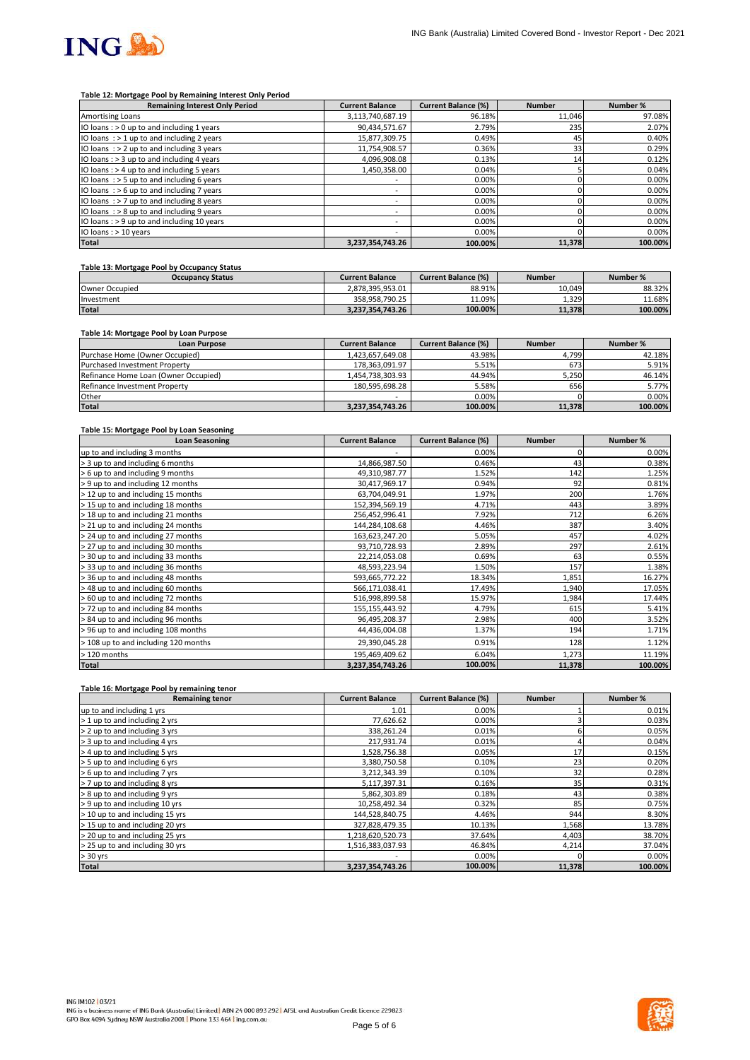

#### **Table 12: Mortgage Pool by Remaining Interest Only Period**

| <b>Remaining Interest Only Period</b>        | <b>Current Balance</b>   | <b>Current Balance (%)</b> | <b>Number</b> | Number % |
|----------------------------------------------|--------------------------|----------------------------|---------------|----------|
| Amortising Loans                             | 3,113,740,687.19         | 96.18%                     | 11.046        | 97.08%   |
| IO loans: > 0 up to and including 1 years    | 90,434,571.67            | 2.79%                      | 235           | 2.07%    |
| IO loans $:$ > 1 up to and including 2 years | 15,877,309.75            | 0.49%                      | 45            | 0.40%    |
| IO loans $:$ > 2 up to and including 3 years | 11,754,908.57            | 0.36%                      | 33            | 0.29%    |
| IO loans : > 3 up to and including 4 years   | 4,096,908.08             | 0.13%                      | 14            | 0.12%    |
| IO loans: > 4 up to and including 5 years    | 1,450,358.00             | 0.04%                      |               | 0.04%    |
| IO loans $:$ > 5 up to and including 6 years | $\overline{\phantom{a}}$ | 0.00%                      |               | 0.00%    |
| IO loans: $> 6$ up to and including 7 years  | $\overline{\phantom{a}}$ | 0.00%                      |               | 0.00%    |
| IO loans $:$ > 7 up to and including 8 years | -                        | 0.00%                      |               | 0.00%    |
| IO loans $:$ > 8 up to and including 9 years | ۰                        | 0.00%                      |               | 0.00%    |
| IO loans: > 9 up to and including 10 years   | $\overline{\phantom{a}}$ | 0.00%                      |               | 0.00%    |
| IO loans : > 10 years                        |                          | 0.00%                      |               | 0.00%    |
| <b>Total</b>                                 | 3,237,354,743.26         | 100.00%                    | 11,378        | 100.00%  |

## **Table 13: Mortgage Pool by Occupancy Status**

| <b>Occupancy Status</b> | <b>Current Balance</b> | <b>Current Balance (%)</b> | <b>Number</b> | Number % |
|-------------------------|------------------------|----------------------------|---------------|----------|
| Owner Occupied          | 2.878.395.953.01       | 88.91%                     | 10.049        | 88.32%   |
| Investment              | 358.958.790.25         | 11.09%                     | 1.329         | 11.68%   |
| <b>Total</b>            | 3.237.354.743.26       | 100.00%                    | 11.378        | 100.00%  |

## **Table 14: Mortgage Pool by Loan Purpose**

| <b>Loan Purpose</b>                  | <b>Current Balance</b> | <b>Current Balance (%)</b> | <b>Number</b> | Number % |
|--------------------------------------|------------------------|----------------------------|---------------|----------|
| Purchase Home (Owner Occupied)       | 1.423.657.649.08       | 43.98%                     | 4.799         | 42.18%   |
| <b>Purchased Investment Property</b> | 178.363.091.97         | 5.51%                      | 673           | 5.91%    |
| Refinance Home Loan (Owner Occupied) | 1,454,738,303.93       | 44.94%                     | 5,250         | 46.14%   |
| Refinance Investment Property        | 180.595.698.28         | 5.58%                      | 656           | 5.77%    |
| Other                                |                        | 0.00%                      |               | $0.00\%$ |
| <b>Total</b>                         | 3,237,354,743.26       | 100.00%                    | 11,378        | 100.00%  |

#### **Table 15: Mortgage Pool by Loan Seasoning**

| <b>Loan Seasoning</b>                | <b>Current Balance</b> | <b>Current Balance (%)</b> | <b>Number</b> | Number % |
|--------------------------------------|------------------------|----------------------------|---------------|----------|
| up to and including 3 months         |                        | 0.00%                      |               | 0.00%    |
| > 3 up to and including 6 months     | 14,866,987.50          | 0.46%                      | 43            | 0.38%    |
| > 6 up to and including 9 months     | 49,310,987.77          | 1.52%                      | 142           | 1.25%    |
| > 9 up to and including 12 months    | 30,417,969.17          | 0.94%                      | 92            | 0.81%    |
| > 12 up to and including 15 months   | 63,704,049.91          | 1.97%                      | 200           | 1.76%    |
| > 15 up to and including 18 months   | 152,394,569.19         | 4.71%                      | 443           | 3.89%    |
| > 18 up to and including 21 months   | 256,452,996.41         | 7.92%                      | 712           | 6.26%    |
| > 21 up to and including 24 months   | 144,284,108.68         | 4.46%                      | 387           | 3.40%    |
| > 24 up to and including 27 months   | 163,623,247.20         | 5.05%                      | 457           | 4.02%    |
| > 27 up to and including 30 months   | 93,710,728.93          | 2.89%                      | 297           | 2.61%    |
| > 30 up to and including 33 months   | 22,214,053.08          | 0.69%                      | 63            | 0.55%    |
| > 33 up to and including 36 months   | 48,593,223.94          | 1.50%                      | 157           | 1.38%    |
| > 36 up to and including 48 months   | 593,665,772.22         | 18.34%                     | 1,851         | 16.27%   |
| > 48 up to and including 60 months   | 566,171,038.41         | 17.49%                     | 1,940         | 17.05%   |
| > 60 up to and including 72 months   | 516,998,899.58         | 15.97%                     | 1,984         | 17.44%   |
| > 72 up to and including 84 months   | 155, 155, 443. 92      | 4.79%                      | 615           | 5.41%    |
| > 84 up to and including 96 months   | 96,495,208.37          | 2.98%                      | 400           | 3.52%    |
| > 96 up to and including 108 months  | 44,436,004.08          | 1.37%                      | 194           | 1.71%    |
| > 108 up to and including 120 months | 29,390,045.28          | 0.91%                      | 128           | 1.12%    |
| > 120 months                         | 195,469,409.62         | 6.04%                      | 1,273         | 11.19%   |
| <b>Total</b>                         | 3,237,354,743.26       | 100.00%                    | 11,378        | 100.00%  |

#### **Table 16: Mortgage Pool by remaining tenor**

| <b>Remaining tenor</b>          | <b>Current Balance</b> | <b>Current Balance (%)</b> | <b>Number</b> | Number % |
|---------------------------------|------------------------|----------------------------|---------------|----------|
| up to and including 1 yrs       | 1.01                   | 0.00%                      |               | 0.01%    |
| > 1 up to and including 2 yrs   | 77,626.62              | 0.00%                      |               | 0.03%    |
| > 2 up to and including 3 yrs   | 338,261.24             | 0.01%                      |               | 0.05%    |
| > 3 up to and including 4 yrs   | 217,931.74             | 0.01%                      |               | 0.04%    |
| > 4 up to and including 5 yrs   | 1,528,756.38           | 0.05%                      | 17            | 0.15%    |
| > 5 up to and including 6 yrs   | 3,380,750.58           | 0.10%                      | 23            | 0.20%    |
| > 6 up to and including 7 yrs   | 3,212,343.39           | 0.10%                      | 32            | 0.28%    |
| > 7 up to and including 8 yrs   | 5,117,397.31           | 0.16%                      | 35            | 0.31%    |
| > 8 up to and including 9 yrs   | 5,862,303.89           | 0.18%                      | 43            | 0.38%    |
| > 9 up to and including 10 yrs  | 10,258,492.34          | 0.32%                      | 85            | 0.75%    |
| > 10 up to and including 15 yrs | 144,528,840.75         | 4.46%                      | 944           | 8.30%    |
| > 15 up to and including 20 yrs | 327,828,479.35         | 10.13%                     | 1,568         | 13.78%   |
| > 20 up to and including 25 yrs | 1,218,620,520.73       | 37.64%                     | 4,403         | 38.70%   |
| > 25 up to and including 30 yrs | 1,516,383,037.93       | 46.84%                     | 4,214         | 37.04%   |
| $> 30$ yrs                      |                        | 0.00%                      |               | 0.00%    |
| <b>Total</b>                    | 3,237,354,743.26       | 100.00%                    | 11,378        | 100.00%  |